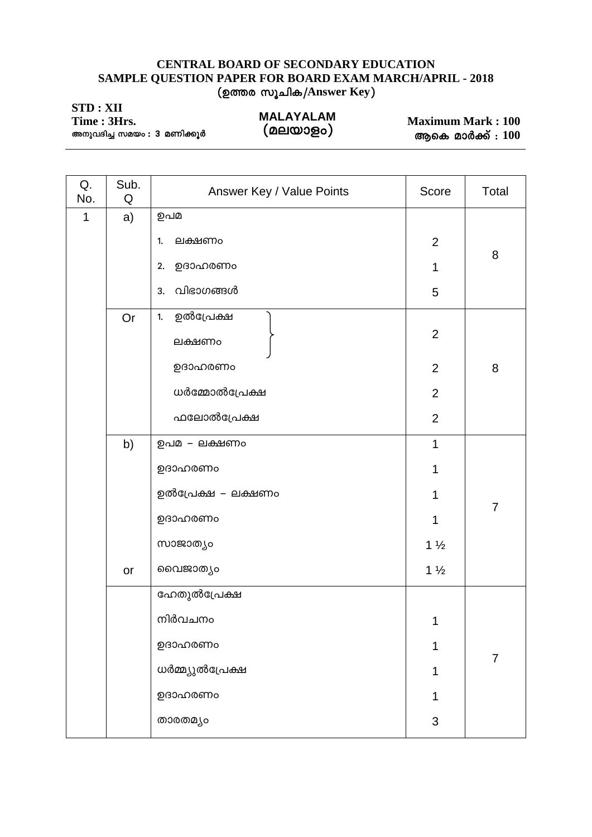## CENTRAL BOARD OF SECONDARY EDUCATION SAMPLE QUESTION PAPER FOR BOARD EXAM MARCH/APRIL - 2018 (ഉത്തര സൂചിക/Answer Key)

| STD: XII<br>Time: 3Hrs.<br>അനുവദിച്ച സമയം : 3 മണിക്കൂർ |  | <b>MALAYALAM</b><br>(മലയാളം) | <b>Maximum Mark: 100</b> |
|--------------------------------------------------------|--|------------------------------|--------------------------|
|                                                        |  |                              | ആകെ മാർക്ക് $: 100$      |

| Q.<br>No. | Sub.<br>Q | Answer Key / Value Points                                                        | Score                                                | Total          |
|-----------|-----------|----------------------------------------------------------------------------------|------------------------------------------------------|----------------|
| 1         | a)        | ഉപമ<br>ലക്ഷണം<br>1.<br>ഉദാഹരണം<br>2.<br>വിഭാഗങ്ങൾ<br>3.                          | $\mathbf{2}$<br>1                                    | 8              |
|           | Or        | ഉൽപ്രേക്ഷ<br>1.<br>ലക്ഷണം<br>ഉദാഹരണം                                             | 5<br>$\overline{2}$<br>$\overline{2}$                | 8              |
|           |           | ധർമ്മോൽപ്രേക്ഷ<br>ഫലോൽപ്രേക്ഷ                                                    | $\mathbf{2}$<br>$\overline{2}$                       |                |
|           | b)<br>or  | ഉപമ – ലക്ഷണം<br>ഉദാഹരണം<br>ഉൽപ്രേക്ഷ – ലക്ഷണം<br>ഉദാഹരണം<br>സാജാത്യം<br>വൈജാത്യം | 1<br>1<br>1<br>1<br>$1\frac{1}{2}$<br>$1\frac{1}{2}$ | $\overline{7}$ |
|           |           | ഹേതുൽപ്രേക്ഷ<br>നിർവചനം<br>ഉദാഹരണം<br>ധർമ്മ്യുൽപ്രേക്ഷ<br>ഉദാഹരണം<br>താരതമ്യം    | $\overline{A}$<br>1<br>$\ensuremath{\mathsf{3}}$     | $\overline{7}$ |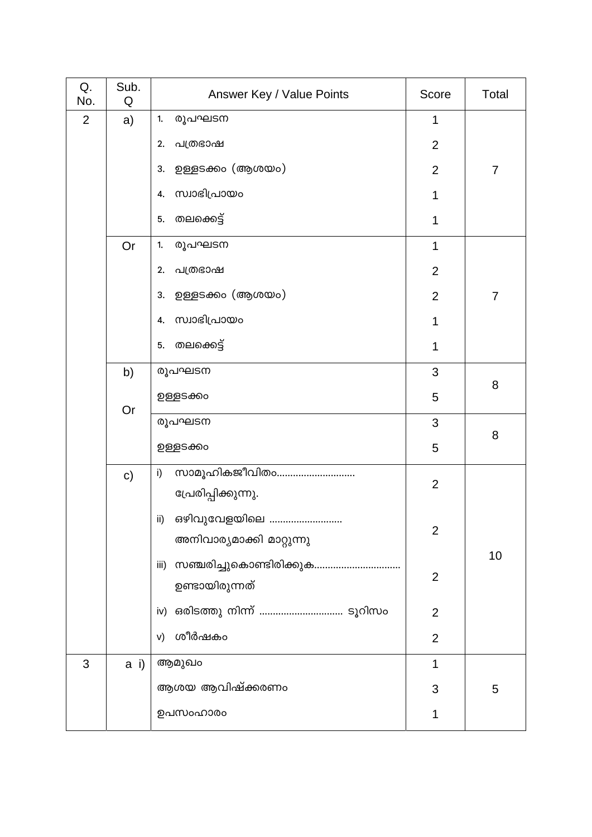| Q.<br>No.      | Sub.<br>Q    | Answer Key / Value Points                                  | Score          | Total          |
|----------------|--------------|------------------------------------------------------------|----------------|----------------|
| $\overline{2}$ | a)           | രൂപഘടന<br>1.                                               | 1              |                |
|                |              | പത്രഭാഷ<br>2.                                              | $\overline{2}$ |                |
|                |              | ഉള്ളടക്കം (ആശയം)<br>3.                                     | $\overline{2}$ | $\overline{7}$ |
|                |              | സ്വാഭിപ്രായം<br>4.                                         | 1              |                |
|                |              | തലക്കെട്ട്<br>5.                                           | 1              |                |
|                | Or           | രൂപഘടന<br>1.                                               | 1              |                |
|                |              | പത്രഭാഷ<br>2.                                              | $\overline{2}$ |                |
|                |              | ഉള്ളടക്കം (ആശയം)<br>3.                                     | $\overline{2}$ | $\overline{7}$ |
|                |              | സ്വാഭിപ്രായം<br>4.                                         | 1              |                |
|                |              | തലക്കെട്ട്<br>5.                                           | 1              |                |
|                | b)           | രൂപഘടന                                                     | 3              | 8              |
|                |              | ഉള്ളടക്കം                                                  | 5              |                |
|                | Or           | രൂപഘടന                                                     | 3              |                |
|                |              | ഉള്ളടക്കം                                                  | 5              | 8              |
|                | $\mathbf{C}$ | സാമൂഹികജീവിതം<br>i)<br>പ്രേരിപ്പിക്കുന്നു.                 | $\overline{2}$ |                |
|                |              | ഒഴിവുവേളയിലെ<br>$\mathsf{ii}$<br>അനിവാര്യമാക്കി മാറ്റുന്നു | $\mathbf{2}$   |                |
|                |              | iii)<br>ഉണ്ടായിരുന്നത്                                     | $\mathbf{2}$   | 10             |
|                |              | iv)                                                        | $\overline{2}$ |                |
|                |              | ശീർഷകം<br>V)                                               | $\overline{2}$ |                |
| 3              | $a$ i)       | ആമുഖം                                                      | $\mathbf 1$    |                |
|                |              | ആശയ ആവിഷ്ക്കരണം                                            | 3              | 5              |
|                |              | ഉപസംഹാരം                                                   | 1              |                |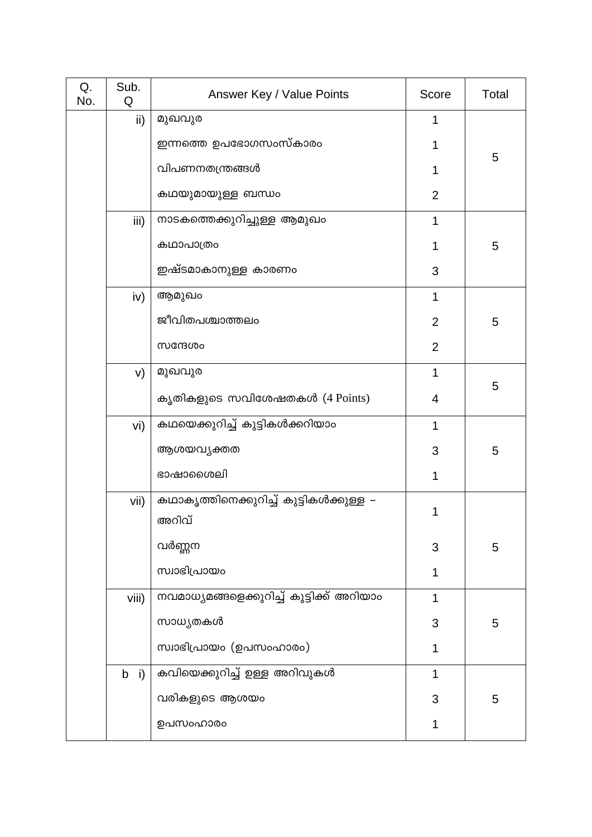| Q.<br>No. | Sub.<br>Q | Answer Key / Value Points                        | Score          | Total |
|-----------|-----------|--------------------------------------------------|----------------|-------|
|           | ii)       | മുഖവുര                                           | 1              |       |
|           |           | ഇന്നത്തെ ഉപഭോഗസംസ്കാരം                           | 1              |       |
|           |           | വിപണനതന്ത്രങ്ങൾ                                  | 1              | 5     |
|           |           | കഥയുമായുള്ള ബന്ധം                                | $\overline{2}$ |       |
|           | iii)      | നാടകത്തെക്കുറിച്ചുള്ള ആമുഖം                      | 1              |       |
|           |           | കഥാപാത്രം                                        | 1              | 5     |
|           |           | ഇഷ്ടമാകാനുള്ള കാരണം                              | 3              |       |
|           | iv)       | ആമുഖം                                            | 1              |       |
|           |           | ജീവിതപശ്ചാത്തലം                                  | $\overline{2}$ | 5     |
|           |           | സന്ദേശം                                          | $\overline{2}$ |       |
|           | V)        | മുഖവുര                                           | 1              |       |
|           |           | കൃതികളുടെ സവിശേഷതകൾ (4 Points)                   | 4              | 5     |
|           | vi)       | കഥയെക്കുറിച്ച് കുട്ടികൾക്കറിയാം                  | 1              |       |
|           |           | ആശയവ്യക്തത                                       | 3              | 5     |
|           |           | ഭാഷാശൈലി                                         | 1              |       |
|           | vii)      | കഥാകൃത്തിനെക്കുറിച്ച് കുട്ടികൾക്കുള്ള –<br>അറിവ് | 1              |       |
|           |           | വർണ്ണന                                           | 3              | 5     |
|           |           | സ്വാഭിപ്രായം                                     | $\mathbf 1$    |       |
|           | viii)     | നവമാധ്യമങ്ങളെക്കുറിച്ച് കുട്ടിക്ക് അറിയാം        | 1              |       |
|           |           | സാധ്യതകൾ                                         | 3              | 5     |
|           |           | സ്വാഭിപ്രായം (ഉപസംഹാരം)                          | 1              |       |
|           | $b$ i)    | കവിയെക്കുറിച്ച് ഉള്ള അറിവുകൾ                     | 1              |       |
|           |           | വരികളുടെ ആശയം                                    | 3              | 5     |
|           |           | ഉപസംഹാരം                                         | 1              |       |